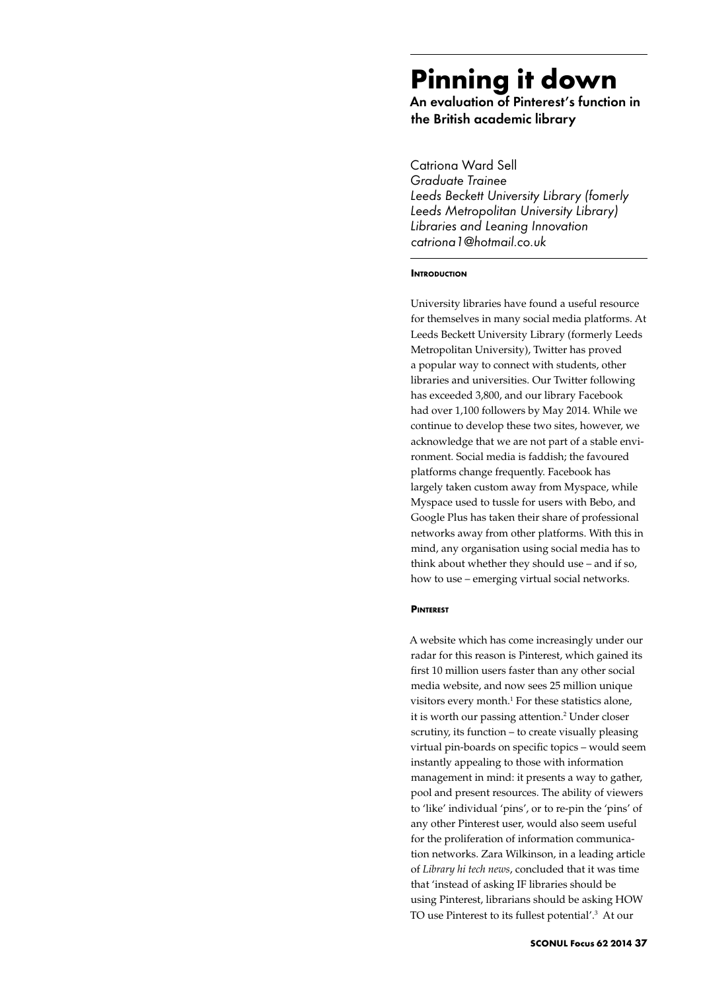# **Pinning it down**

An evaluation of Pinterest's function in the British academic library

Catriona Ward Sell *Graduate Trainee Leeds Beckett University Library (fomerly Leeds Metropolitan University Library) Libraries and Leaning Innovation catriona1@hotmail.co.uk*

#### **INTRODUCTION**

University libraries have found a useful resource for themselves in many social media platforms. At Leeds Beckett University Library (formerly Leeds Metropolitan University), Twitter has proved a popular way to connect with students, other libraries and universities. Our Twitter following has exceeded 3,800, and our library Facebook had over 1,100 followers by May 2014. While we continue to develop these two sites, however, we acknowledge that we are not part of a stable environment. Social media is faddish; the favoured platforms change frequently. Facebook has largely taken custom away from Myspace, while Myspace used to tussle for users with Bebo, and Google Plus has taken their share of professional networks away from other platforms. With this in mind, any organisation using social media has to think about whether they should use – and if so, how to use – emerging virtual social networks.

#### **PINTEDEST**

A website which has come increasingly under our radar for this reason is Pinterest, which gained its first 10 million users faster than any other social media website, and now sees 25 million unique visitors every month.<sup>1</sup> For these statistics alone, it is worth our passing attention.<sup>2</sup> Under closer scrutiny, its function – to create visually pleasing virtual pin-boards on specific topics – would seem instantly appealing to those with information management in mind: it presents a way to gather, pool and present resources. The ability of viewers to 'like' individual 'pins', or to re-pin the 'pins' of any other Pinterest user, would also seem useful for the proliferation of information communication networks. Zara Wilkinson, in a leading article of *Library hi tech news*, concluded that it was time that 'instead of asking IF libraries should be using Pinterest, librarians should be asking HOW TO use Pinterest to its fullest potential'.3 At our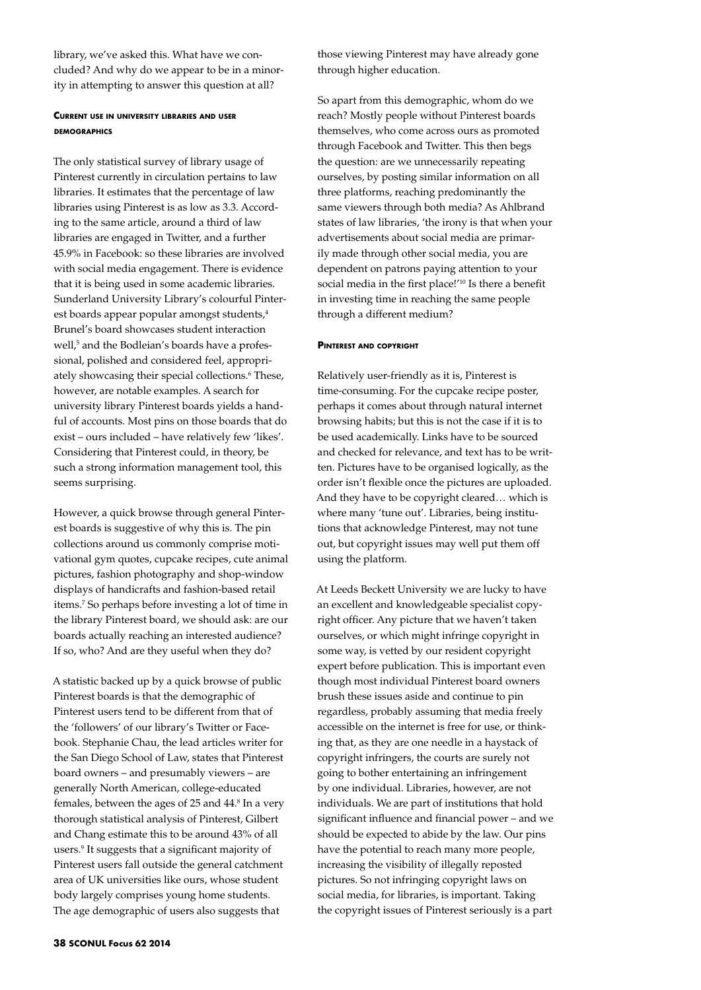library, we've asked this. What have we concluded? And why do we appear to be in a minority in attempting to answer this question at all?

## **Current use in university libraries and user demographics**

The only statistical survey of library usage of Pinterest currently in circulation pertains to law libraries. It estimates that the percentage of law libraries using Pinterest is as low as 3.3. According to the same article, around a third of law libraries are engaged in Twitter, and a further 45.9% in Facebook: so these libraries are involved with social media engagement. There is evidence that it is being used in some academic libraries. Sunderland University Library's colourful Pinterest boards appear popular amongst students,<sup>4</sup> Brunel's board showcases student interaction well,<sup>5</sup> and the Bodleian's boards have a professional, polished and considered feel, appropriately showcasing their special collections.<sup>6</sup> These, however, are notable examples. A search for university library Pinterest boards yields a handful of accounts. Most pins on those boards that do exist – ours included – have relatively few 'likes'. Considering that Pinterest could, in theory, be such a strong information management tool, this seems surprising.

However, a quick browse through general Pinterest boards is suggestive of why this is. The pin collections around us commonly comprise motivational gym quotes, cupcake recipes, cute animal pictures, fashion photography and shop-window displays of handicrafts and fashion-based retail items.7 So perhaps before investing a lot of time in the library Pinterest board, we should ask: are our boards actually reaching an interested audience? If so, who? And are they useful when they do?

A statistic backed up by a quick browse of public Pinterest boards is that the demographic of Pinterest users tend to be different from that of the 'followers' of our library's Twitter or Facebook. Stephanie Chau, the lead articles writer for the San Diego School of Law, states that Pinterest board owners – and presumably viewers – are generally North American, college-educated females, between the ages of 25 and 44.<sup>8</sup> In a very thorough statistical analysis of Pinterest, Gilbert and Chang estimate this to be around 43% of all users.9 It suggests that a significant majority of Pinterest users fall outside the general catchment area of UK universities like ours, whose student body largely comprises young home students. The age demographic of users also suggests that

those viewing Pinterest may have already gone through higher education.

So apart from this demographic, whom do we reach? Mostly people without Pinterest boards themselves, who come across ours as promoted through Facebook and Twitter. This then begs the question: are we unnecessarily repeating ourselves, by posting similar information on all three platforms, reaching predominantly the same viewers through both media? As Ahlbrand states of law libraries, 'the irony is that when your advertisements about social media are primarily made through other social media, you are dependent on patrons paying attention to your social media in the first place!'10 Is there a benefit in investing time in reaching the same people through a different medium?

#### **Pinterest and copyright**

Relatively user-friendly as it is, Pinterest is time-consuming. For the cupcake recipe poster, perhaps it comes about through natural internet browsing habits; but this is not the case if it is to be used academically. Links have to be sourced and checked for relevance, and text has to be written. Pictures have to be organised logically, as the order isn't flexible once the pictures are uploaded. And they have to be copyright cleared… which is where many 'tune out'. Libraries, being institutions that acknowledge Pinterest, may not tune out, but copyright issues may well put them off using the platform.

At Leeds Beckett University we are lucky to have an excellent and knowledgeable specialist copyright officer. Any picture that we haven't taken ourselves, or which might infringe copyright in some way, is vetted by our resident copyright expert before publication. This is important even though most individual Pinterest board owners brush these issues aside and continue to pin regardless, probably assuming that media freely accessible on the internet is free for use, or thinking that, as they are one needle in a haystack of copyright infringers, the courts are surely not going to bother entertaining an infringement by one individual. Libraries, however, are not individuals. We are part of institutions that hold significant influence and financial power – and we should be expected to abide by the law. Our pins have the potential to reach many more people, increasing the visibility of illegally reposted pictures. So not infringing copyright laws on social media, for libraries, is important. Taking the copyright issues of Pinterest seriously is a part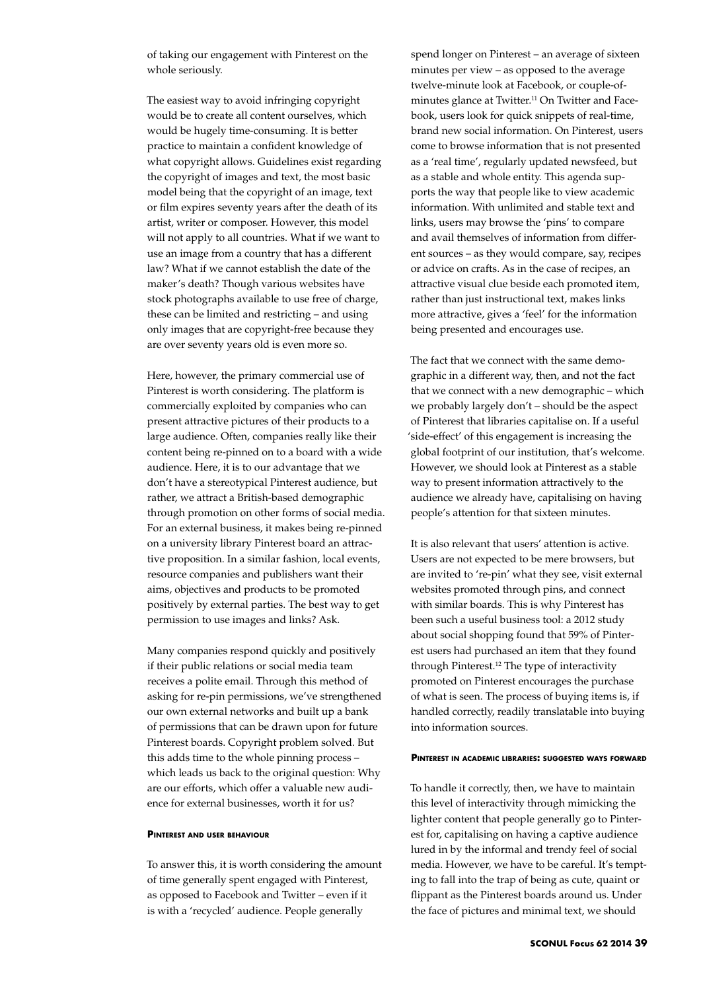of taking our engagement with Pinterest on the whole seriously.

The easiest way to avoid infringing copyright would be to create all content ourselves, which would be hugely time-consuming. It is better practice to maintain a confident knowledge of what copyright allows. Guidelines exist regarding the copyright of images and text, the most basic model being that the copyright of an image, text or film expires seventy years after the death of its artist, writer or composer. However, this model will not apply to all countries. What if we want to use an image from a country that has a different law? What if we cannot establish the date of the maker's death? Though various websites have stock photographs available to use free of charge, these can be limited and restricting – and using only images that are copyright-free because they are over seventy years old is even more so.

Here, however, the primary commercial use of Pinterest is worth considering. The platform is commercially exploited by companies who can present attractive pictures of their products to a large audience. Often, companies really like their content being re-pinned on to a board with a wide audience. Here, it is to our advantage that we don't have a stereotypical Pinterest audience, but rather, we attract a British-based demographic through promotion on other forms of social media. For an external business, it makes being re-pinned on a university library Pinterest board an attractive proposition. In a similar fashion, local events, resource companies and publishers want their aims, objectives and products to be promoted positively by external parties. The best way to get permission to use images and links? Ask.

Many companies respond quickly and positively if their public relations or social media team receives a polite email. Through this method of asking for re-pin permissions, we've strengthened our own external networks and built up a bank of permissions that can be drawn upon for future Pinterest boards. Copyright problem solved. But this adds time to the whole pinning process – which leads us back to the original question: Why are our efforts, which offer a valuable new audience for external businesses, worth it for us?

#### **Pinterest and user behaviour**

To answer this, it is worth considering the amount of time generally spent engaged with Pinterest, as opposed to Facebook and Twitter – even if it is with a 'recycled' audience. People generally

spend longer on Pinterest – an average of sixteen minutes per view – as opposed to the average twelve-minute look at Facebook, or couple-ofminutes glance at Twitter.<sup>11</sup> On Twitter and Facebook, users look for quick snippets of real-time, brand new social information. On Pinterest, users come to browse information that is not presented as a 'real time', regularly updated newsfeed, but as a stable and whole entity. This agenda supports the way that people like to view academic information. With unlimited and stable text and links, users may browse the 'pins' to compare and avail themselves of information from different sources – as they would compare, say, recipes or advice on crafts. As in the case of recipes, an attractive visual clue beside each promoted item, rather than just instructional text, makes links more attractive, gives a 'feel' for the information being presented and encourages use.

The fact that we connect with the same demographic in a different way, then, and not the fact that we connect with a new demographic – which we probably largely don't – should be the aspect of Pinterest that libraries capitalise on. If a useful 'side-effect' of this engagement is increasing the global footprint of our institution, that's welcome. However, we should look at Pinterest as a stable way to present information attractively to the audience we already have, capitalising on having people's attention for that sixteen minutes.

It is also relevant that users' attention is active. Users are not expected to be mere browsers, but are invited to 're-pin' what they see, visit external websites promoted through pins, and connect with similar boards. This is why Pinterest has been such a useful business tool: a 2012 study about social shopping found that 59% of Pinterest users had purchased an item that they found through Pinterest.12 The type of interactivity promoted on Pinterest encourages the purchase of what is seen. The process of buying items is, if handled correctly, readily translatable into buying into information sources.

#### **Pinterest in academic libraries: suggested ways forward**

To handle it correctly, then, we have to maintain this level of interactivity through mimicking the lighter content that people generally go to Pinterest for, capitalising on having a captive audience lured in by the informal and trendy feel of social media. However, we have to be careful. It's tempting to fall into the trap of being as cute, quaint or flippant as the Pinterest boards around us. Under the face of pictures and minimal text, we should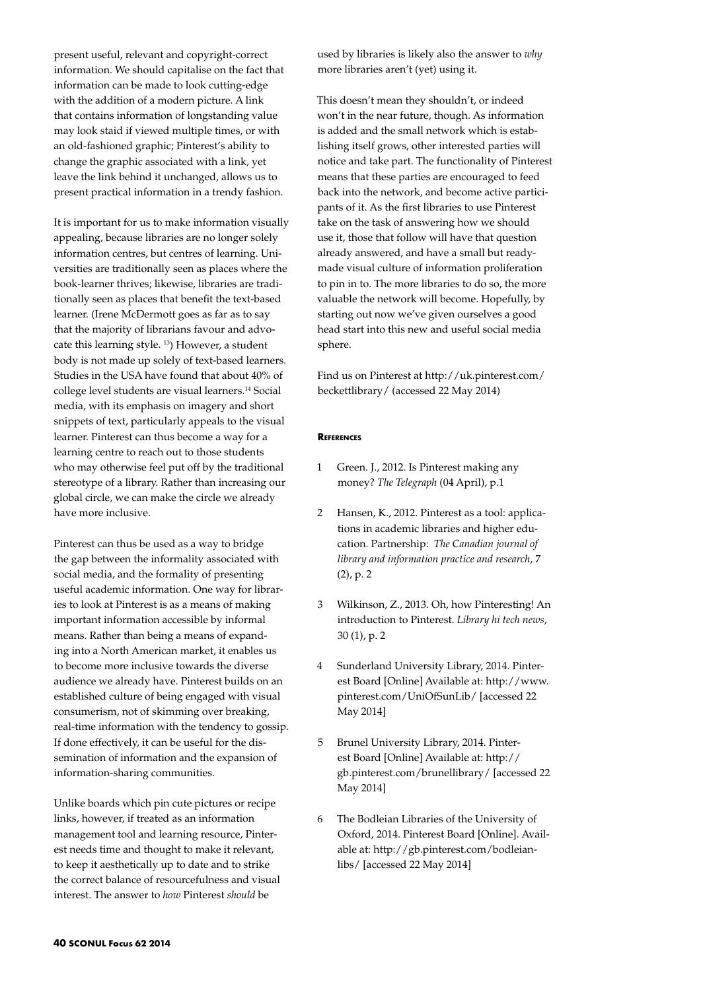present useful, relevant and copyright-correct information. We should capitalise on the fact that information can be made to look cutting-edge with the addition of a modern picture. A link that contains information of longstanding value may look staid if viewed multiple times, or with an old-fashioned graphic; Pinterest's ability to change the graphic associated with a link, yet leave the link behind it unchanged, allows us to present practical information in a trendy fashion.

It is important for us to make information visually appealing, because libraries are no longer solely information centres, but centres of learning. Universities are traditionally seen as places where the book-learner thrives; likewise, libraries are traditionally seen as places that benefit the text-based learner. (Irene McDermott goes as far as to say that the majority of librarians favour and advocate this learning style. 13) However, a student body is not made up solely of text-based learners. Studies in the USA have found that about 40% of college level students are visual learners.14 Social media, with its emphasis on imagery and short snippets of text, particularly appeals to the visual learner. Pinterest can thus become a way for a learning centre to reach out to those students who may otherwise feel put off by the traditional stereotype of a library. Rather than increasing our global circle, we can make the circle we already have more inclusive.

Pinterest can thus be used as a way to bridge the gap between the informality associated with social media, and the formality of presenting useful academic information. One way for libraries to look at Pinterest is as a means of making important information accessible by informal means. Rather than being a means of expanding into a North American market, it enables us to become more inclusive towards the diverse audience we already have. Pinterest builds on an established culture of being engaged with visual consumerism, not of skimming over breaking, real-time information with the tendency to gossip. If done effectively, it can be useful for the dissemination of information and the expansion of information-sharing communities.

Unlike boards which pin cute pictures or recipe links, however, if treated as an information management tool and learning resource, Pinterest needs time and thought to make it relevant, to keep it aesthetically up to date and to strike the correct balance of resourcefulness and visual interest. The answer to *how* Pinterest *should* be

used by libraries is likely also the answer to *why* more libraries aren't (yet) using it.

This doesn't mean they shouldn't, or indeed won't in the near future, though. As information is added and the small network which is establishing itself grows, other interested parties will notice and take part. The functionality of Pinterest means that these parties are encouraged to feed back into the network, and become active participants of it. As the first libraries to use Pinterest take on the task of answering how we should use it, those that follow will have that question already answered, and have a small but readymade visual culture of information proliferation to pin in to. The more libraries to do so, the more valuable the network will become. Hopefully, by starting out now we've given ourselves a good head start into this new and useful social media sphere.

Find us on Pinterest at http://uk.pinterest.com/ beckettlibrary/ (accessed 22 May 2014)

### **References**

- 1 Green. J., 2012. Is Pinterest making any money? *The Telegraph* (04 April), p.1
- 2 Hansen, K., 2012. Pinterest as a tool: applications in academic libraries and higher education. Partnership: *The Canadian journal of library and information practice and research*, 7 (2), p. 2
- 3 Wilkinson, Z., 2013. Oh, how Pinteresting! An introduction to Pinterest. *Library hi tech news*, 30 (1), p. 2
- 4 Sunderland University Library, 2014. Pinterest Board [Online] Available at: http://www. pinterest.com/UniOfSunLib/ [accessed 22 May 2014]
- 5 Brunel University Library, 2014. Pinterest Board [Online] Available at: http:// gb.pinterest.com/brunellibrary/ [accessed 22 May 2014]
- 6 The Bodleian Libraries of the University of Oxford, 2014. Pinterest Board [Online]. Available at: http://gb.pinterest.com/bodleianlibs/ [accessed 22 May 2014]